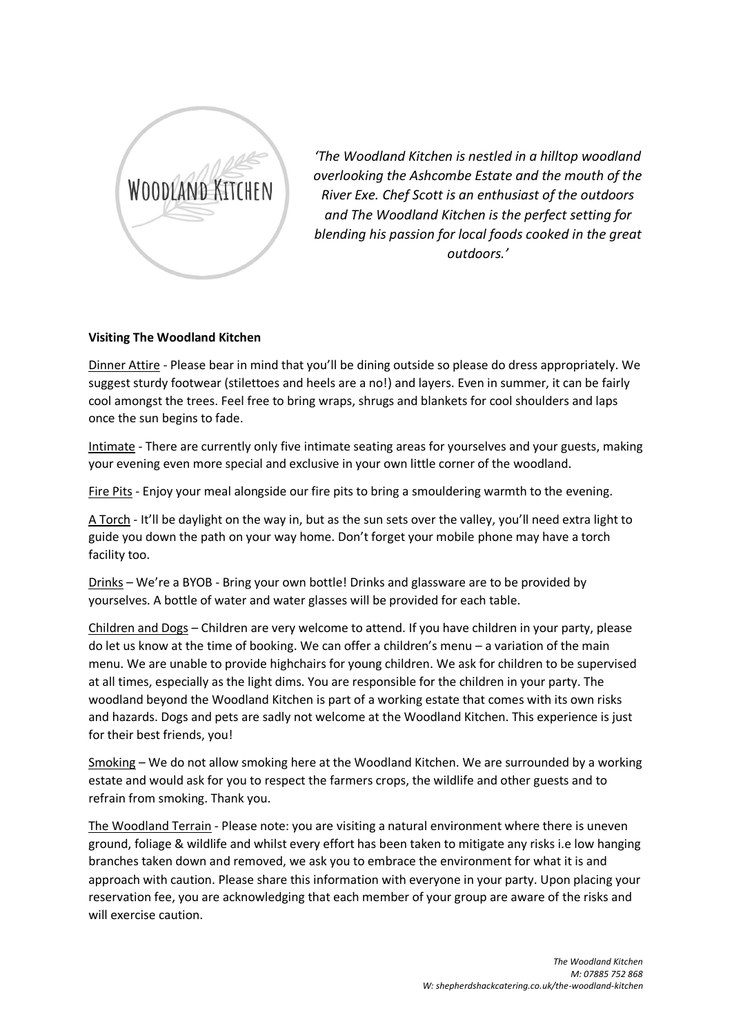

*'The Woodland Kitchen is nestled in a hilltop woodland overlooking the Ashcombe Estate and the mouth of the River Exe. Chef Scott is an enthusiast of the outdoors and The Woodland Kitchen is the perfect setting for blending his passion for local foods cooked in the great outdoors.'*

## **Visiting The Woodland Kitchen**

Dinner Attire - Please bear in mind that you'll be dining outside so please do dress appropriately. We suggest sturdy footwear (stilettoes and heels are a no!) and layers. Even in summer, it can be fairly cool amongst the trees. Feel free to bring wraps, shrugs and blankets for cool shoulders and laps once the sun begins to fade.

Intimate - There are currently only five intimate seating areas for yourselves and your guests, making your evening even more special and exclusive in your own little corner of the woodland.

Fire Pits - Enjoy your meal alongside our fire pits to bring a smouldering warmth to the evening.

A Torch - It'll be daylight on the way in, but as the sun sets over the valley, you'll need extra light to guide you down the path on your way home. Don't forget your mobile phone may have a torch facility too.

Drinks – We're a BYOB - Bring your own bottle! Drinks and glassware are to be provided by yourselves. A bottle of water and water glasses will be provided for each table.

Children and Dogs – Children are very welcome to attend. If you have children in your party, please do let us know at the time of booking. We can offer a children's menu – a variation of the main menu. We are unable to provide highchairs for young children. We ask for children to be supervised at all times, especially as the light dims. You are responsible for the children in your party. The woodland beyond the Woodland Kitchen is part of a working estate that comes with its own risks and hazards. Dogs and pets are sadly not welcome at the Woodland Kitchen. This experience is just for their best friends, you!

Smoking – We do not allow smoking here at the Woodland Kitchen. We are surrounded by a working estate and would ask for you to respect the farmers crops, the wildlife and other guests and to refrain from smoking. Thank you.

The Woodland Terrain - Please note: you are visiting a natural environment where there is uneven ground, foliage & wildlife and whilst every effort has been taken to mitigate any risks i.e low hanging branches taken down and removed, we ask you to embrace the environment for what it is and approach with caution. Please share this information with everyone in your party. Upon placing your reservation fee, you are acknowledging that each member of your group are aware of the risks and will exercise caution.